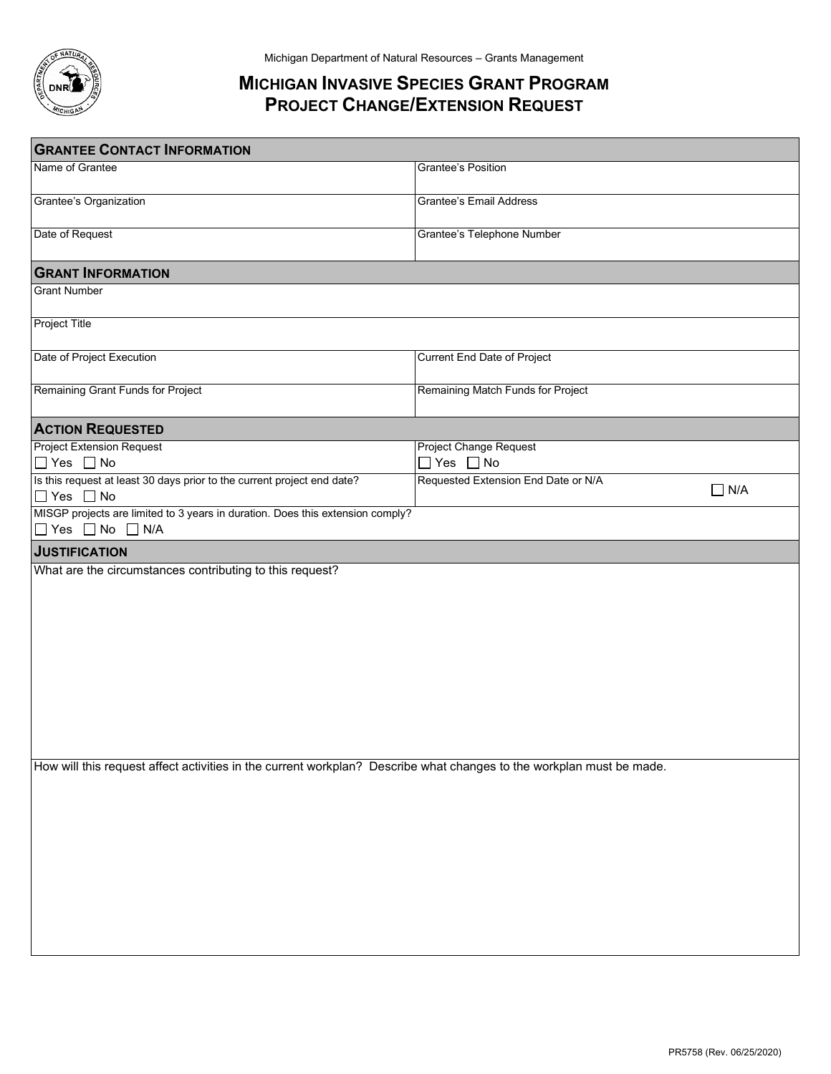

## **MICHIGAN INVASIVE SPECIES GRANT PROGRAM PROJECT CHANGE/EXTENSION REQUEST**

| <b>GRANTEE CONTACT INFORMATION</b>                                                                                   |                                                |            |  |  |
|----------------------------------------------------------------------------------------------------------------------|------------------------------------------------|------------|--|--|
| Name of Grantee                                                                                                      | Grantee's Position                             |            |  |  |
| Grantee's Organization                                                                                               | <b>Grantee's Email Address</b>                 |            |  |  |
| Date of Request                                                                                                      | Grantee's Telephone Number                     |            |  |  |
| <b>GRANT INFORMATION</b>                                                                                             |                                                |            |  |  |
| <b>Grant Number</b>                                                                                                  |                                                |            |  |  |
| <b>Project Title</b>                                                                                                 |                                                |            |  |  |
| Date of Project Execution                                                                                            | <b>Current End Date of Project</b>             |            |  |  |
| Remaining Grant Funds for Project                                                                                    | Remaining Match Funds for Project              |            |  |  |
| <b>ACTION REQUESTED</b>                                                                                              |                                                |            |  |  |
| <b>Project Extension Request</b><br>$\Box$ Yes $\Box$ No                                                             | Project Change Request<br>$\Box$ Yes $\Box$ No |            |  |  |
| Is this request at least 30 days prior to the current project end date?<br>$\Box$ Yes $\Box$ No                      | Requested Extension End Date or N/A            | $\Box$ N/A |  |  |
| MISGP projects are limited to 3 years in duration. Does this extension comply?                                       |                                                |            |  |  |
| $\Box$ Yes $\Box$ No $\Box$ N/A                                                                                      |                                                |            |  |  |
| <b>JUSTIFICATION</b>                                                                                                 |                                                |            |  |  |
| What are the circumstances contributing to this request?                                                             |                                                |            |  |  |
|                                                                                                                      |                                                |            |  |  |
|                                                                                                                      |                                                |            |  |  |
|                                                                                                                      |                                                |            |  |  |
|                                                                                                                      |                                                |            |  |  |
|                                                                                                                      |                                                |            |  |  |
|                                                                                                                      |                                                |            |  |  |
|                                                                                                                      |                                                |            |  |  |
|                                                                                                                      |                                                |            |  |  |
|                                                                                                                      |                                                |            |  |  |
| How will this request affect activities in the current workplan? Describe what changes to the workplan must be made. |                                                |            |  |  |
|                                                                                                                      |                                                |            |  |  |
|                                                                                                                      |                                                |            |  |  |
|                                                                                                                      |                                                |            |  |  |
|                                                                                                                      |                                                |            |  |  |
|                                                                                                                      |                                                |            |  |  |
|                                                                                                                      |                                                |            |  |  |
|                                                                                                                      |                                                |            |  |  |
|                                                                                                                      |                                                |            |  |  |
|                                                                                                                      |                                                |            |  |  |
|                                                                                                                      |                                                |            |  |  |